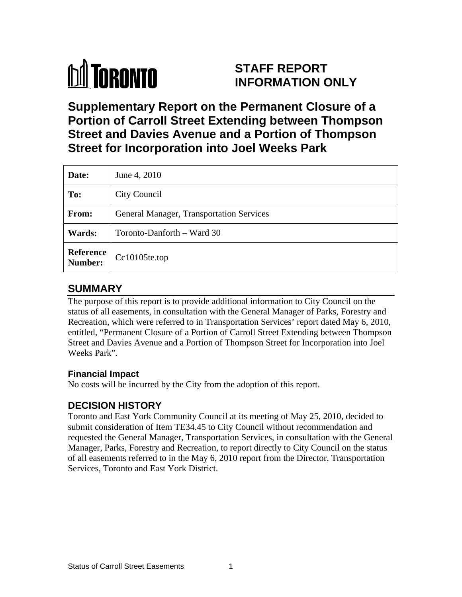# **M** TORONTO

## **STAFF REPORT INFORMATION ONLY**

**Supplementary Report on the Permanent Closure of a Portion of Carroll Street Extending between Thompson Street and Davies Avenue and a Portion of Thompson Street for Incorporation into Joel Weeks Park** 

| Date:         | June 4, 2010                             |
|---------------|------------------------------------------|
| To:           | <b>City Council</b>                      |
| From:         | General Manager, Transportation Services |
| <b>Wards:</b> | Toronto-Danforth – Ward 30               |
|               | Reference Cc10105te.top                  |

## **SUMMARY**

The purpose of this report is to provide additional information to City Council on the status of all easements, in consultation with the General Manager of Parks, Forestry and Recreation, which were referred to in Transportation Services' report dated May 6, 2010, entitled, "Permanent Closure of a Portion of Carroll Street Extending between Thompson Street and Davies Avenue and a Portion of Thompson Street for Incorporation into Joel Weeks Park"*.*

### **Financial Impact**

No costs will be incurred by the City from the adoption of this report.

## **DECISION HISTORY**

Toronto and East York Community Council at its meeting of May 25, 2010, decided to submit consideration of Item TE34.45 to City Council without recommendation and requested the General Manager, Transportation Services, in consultation with the General Manager, Parks, Forestry and Recreation, to report directly to City Council on the status of all easements referred to in the May 6, 2010 report from the Director, Transportation Services, Toronto and East York District.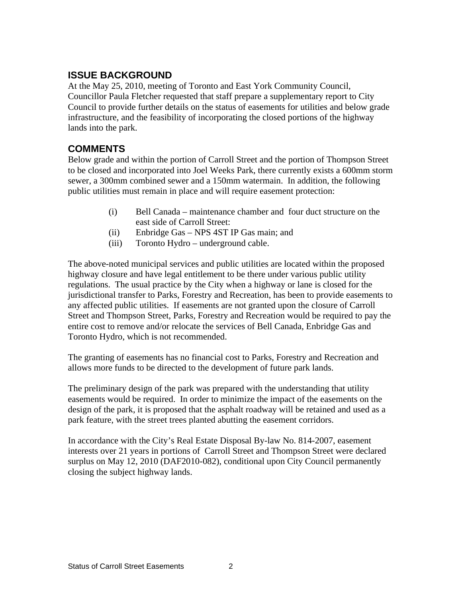### **ISSUE BACKGROUND**

At the May 25, 2010, meeting of Toronto and East York Community Council, Councillor Paula Fletcher requested that staff prepare a supplementary report to City Council to provide further details on the status of easements for utilities and below grade infrastructure, and the feasibility of incorporating the closed portions of the highway lands into the park.

## **COMMENTS**

Below grade and within the portion of Carroll Street and the portion of Thompson Street to be closed and incorporated into Joel Weeks Park, there currently exists a 600mm storm sewer, a 300mm combined sewer and a 150mm watermain. In addition, the following public utilities must remain in place and will require easement protection:

- (i) Bell Canada maintenance chamber and four duct structure on the east side of Carroll Street:
- (ii) Enbridge Gas NPS 4ST IP Gas main; and
- (iii) Toronto Hydro underground cable.

The above-noted municipal services and public utilities are located within the proposed highway closure and have legal entitlement to be there under various public utility regulations. The usual practice by the City when a highway or lane is closed for the jurisdictional transfer to Parks, Forestry and Recreation, has been to provide easements to any affected public utilities. If easements are not granted upon the closure of Carroll Street and Thompson Street, Parks, Forestry and Recreation would be required to pay the entire cost to remove and/or relocate the services of Bell Canada, Enbridge Gas and Toronto Hydro, which is not recommended. The granting of easements has no financial cost to Parks, Forestry and Recreation and

allows more funds to be directed to the development of future park lands.

The preliminary design of the park was prepared with the understanding that utility easements would be required. In order to minimize the impact of the easements on the design of the park, it is proposed that the asphalt roadway will be retained and used as a park feature, with the street trees planted abutting the easement corridors.

In accordance with the City's Real Estate Disposal By-law No. 814-2007, easement interests over 21 years in portions of Carroll Street and Thompson Street were declared surplus on May 12, 2010 (DAF2010-082), conditional upon City Council permanently closing the subject highway lands.